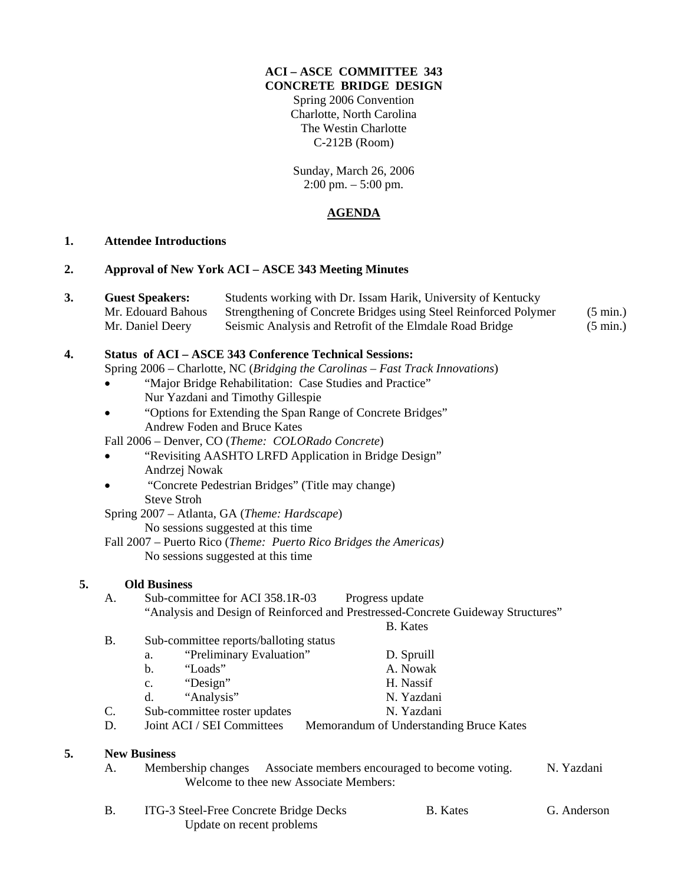### **ACI – ASCE COMMITTEE 343 CONCRETE BRIDGE DESIGN**

Spring 2006 Convention Charlotte, North Carolina The Westin Charlotte C-212B (Room)

Sunday, March 26, 2006 2:00 pm. – 5:00 pm.

# **AGENDA**

## **1. Attendee Introductions**

### **2. Approval of New York ACI – ASCE 343 Meeting Minutes**

| J. | <b>Guest Speakers:</b> | Students working with Dr. Issam Harik, University of Kentucky    |                    |  |
|----|------------------------|------------------------------------------------------------------|--------------------|--|
|    | Mr. Edouard Bahous     | Strengthening of Concrete Bridges using Steel Reinforced Polymer | $(5 \text{ min.})$ |  |
|    | Mr. Daniel Deerv       | Seismic Analysis and Retrofit of the Elmdale Road Bridge         | $(5 \text{ min.})$ |  |

#### **4. Status of ACI – ASCE 343 Conference Technical Sessions:**  Spring 2006 – Charlotte, NC (*Bridging the Carolinas – Fast Track Innovations*)

- "Major Bridge Rehabilitation: Case Studies and Practice" Nur Yazdani and Timothy Gillespie
- "Options for Extending the Span Range of Concrete Bridges" Andrew Foden and Bruce Kates

Fall 2006 – Denver, CO (*Theme: COLORado Concrete*)

- "Revisiting AASHTO LRFD Application in Bridge Design" Andrzej Nowak
- "Concrete Pedestrian Bridges" (Title may change) Steve Stroh

 Spring 2007 – Atlanta, GA (*Theme: Hardscape*) No sessions suggested at this time

 Fall 2007 – Puerto Rico (*Theme: Puerto Rico Bridges the Americas)* No sessions suggested at this time

## **5. Old Business**

## A. Sub-committee for ACI 358.1R-03 Progress update "Analysis and Design of Reinforced and Prestressed-Concrete Guideway Structures" B. Kates

| Β. | Sub-committee reports/balloting status |                                         |  |
|----|----------------------------------------|-----------------------------------------|--|
|    | "Preliminary Evaluation"<br>a.         | D. Spruill                              |  |
|    | "Loads"<br>b.                          | A. Nowak                                |  |
|    | "Design"<br>$c_{\cdot}$                | H. Nassif                               |  |
|    | "Analysis"<br>d.                       | N. Yazdani                              |  |
| C. | Sub-committee roster updates           | N. Yazdani                              |  |
| D. | Joint ACI / SEI Committees             | Memorandum of Understanding Bruce Kates |  |

## **5. New Business**

- A. Membership changes Associate members encouraged to become voting. N. Yazdani Welcome to thee new Associate Members:
- B. ITG-3 Steel-Free Concrete Bridge Decks B. Kates G. Anderson Update on recent problems